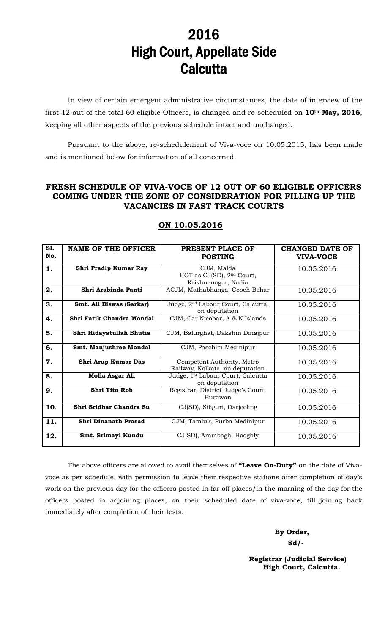# 2016 High Court, Appellate Side **Calcutta**

In view of certain emergent administrative circumstances, the date of interview of the first 12 out of the total 60 eligible Officers, is changed and re-scheduled on **10th May, 2016**, keeping all other aspects of the previous schedule intact and unchanged.

 Pursuant to the above, re-schedulement of Viva-voce on 10.05.2015, has been made and is mentioned below for information of all concerned.

### **FRESH SCHEDULE OF VIVA-VOCE OF 12 OUT OF 60 ELIGIBLE OFFICERS COMING UNDER THE ZONE OF CONSIDERATION FOR FILLING UP THE VACANCIES IN FAST TRACK COURTS**

| <b>S1.</b><br>No. | <b>NAME OF THE OFFICER</b> | PRESENT PLACE OF<br><b>POSTING</b>                                         | CHANGED DATE OF<br><b>VIVA-VOCE</b> |
|-------------------|----------------------------|----------------------------------------------------------------------------|-------------------------------------|
| 1.                | Shri Pradip Kumar Ray      | CJM, Malda<br>UOT as CJ(SD), 2 <sup>nd</sup> Court,<br>Krishnanagar, Nadia | 10.05.2016                          |
| 2.                | Shri Arabinda Panti        | ACJM, Mathabhanga, Cooch Behar                                             | 10.05.2016                          |
| 3.                | Smt. Ali Biswas (Sarkar)   | Judge, 2 <sup>nd</sup> Labour Court, Calcutta,<br>on deputation            | 10.05.2016                          |
| 4.                | Shri Fatik Chandra Mondal  | CJM, Car Nicobar, A & N Islands                                            | 10.05.2016                          |
| 5.                | Shri Hidayatullah Bhutia   | CJM, Balurghat, Dakshin Dinajpur                                           | 10.05.2016                          |
| 6.                | Smt. Manjushree Mondal     | CJM, Paschim Medinipur                                                     | 10.05.2016                          |
| 7.                | Shri Arup Kumar Das        | Competent Authority, Metro<br>Railway, Kolkata, on deputation              | 10.05.2016                          |
| 8.                | Molla Asgar Ali            | Judge, 1 <sup>st</sup> Labour Court, Calcutta<br>on deputation             | 10.05.2016                          |
| 9.                | <b>Shri Tito Rob</b>       | Registrar, District Judge's Court,<br>Burdwan                              | 10.05.2016                          |
| 10.               | Shri Sridhar Chandra Su    | CJ(SD), Siliguri, Darjeeling                                               | 10.05.2016                          |
| 11.               | Shri Dinanath Prasad       | CJM, Tamluk, Purba Medinipur                                               | 10.05.2016                          |
| 12.               | Smt. Srimayi Kundu         | CJ(SD), Arambagh, Hooghly                                                  | 10.05.2016                          |

## **ON 10.05.2016**

The above officers are allowed to avail themselves of **"Leave On-Duty"** on the date of Vivavoce as per schedule, with permission to leave their respective stations after completion of day's work on the previous day for the officers posted in far off places/in the morning of the day for the officers posted in adjoining places, on their scheduled date of viva-voce, till joining back immediately after completion of their tests.

 **By Order, Sd/-** 

> **Registrar (Judicial Service) High Court, Calcutta.**